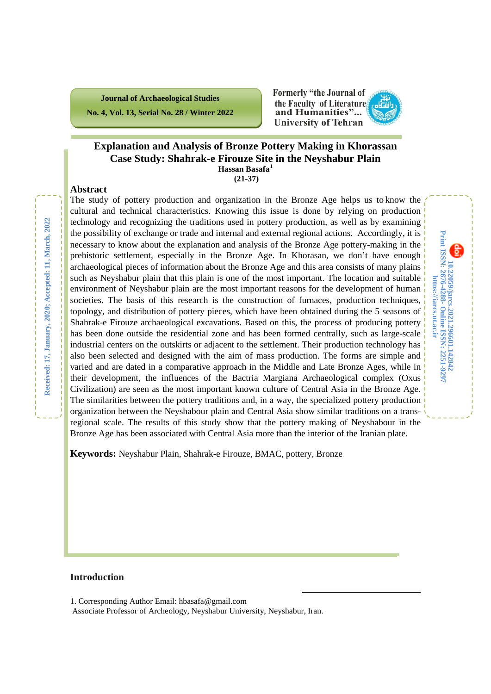**Journal of Archaeological Studies No. 4, Vol. 13, Serial No. 28 / Winter 2022** **Formerly "the Journal of** the Faculty of Literature and Humanities"... **University of Tehran** 

**10.22059/jarcs.2021.296601.142842**

10.22059/jarcs.2021.296601.142842<br>Print ISSN: 2676-4288 - Online ISSN: 2251-9297 https://iarcs.ut.ac.ir

**Online ISSN: 2251-9297**

**https://jarcs.ut.ac.ir**

**Print ISSN: 2676-4288-**

### **Explanation and Analysis of Bronze Pottery Making in Khorassan Case Study: Shahrak-e Firouze Site in the Neyshabur Plain Hassan Basafa[1](#page-0-0) (21-37)**

#### **Abstract**

The study of pottery production and organization in the Bronze Age helps us to know the cultural and technical characteristics. Knowing this issue is done by relying on production technology and recognizing the traditions used in pottery production, as well as by examining the possibility of exchange or trade and internal and external regional actions. Accordingly, it is necessary to know about the explanation and analysis of the Bronze Age pottery-making in the prehistoric settlement, especially in the Bronze Age. In Khorasan, we don't have enough archaeological pieces of information about the Bronze Age and this area consists of many plains such as Neyshabur plain that this plain is one of the most important. The location and suitable environment of Neyshabur plain are the most important reasons for the development of human societies. The basis of this research is the construction of furnaces, production techniques, topology, and distribution of pottery pieces, which have been obtained during the 5 seasons of Shahrak-e Firouze archaeological excavations. Based on this, the process of producing pottery has been done outside the residential zone and has been formed centrally, such as large-scale industrial centers on the outskirts or adjacent to the settlement. Their production technology has also been selected and designed with the aim of mass production. The forms are simple and varied and are dated in a comparative approach in the Middle and Late Bronze Ages, while in their development, the influences of the Bactria Margiana Archaeological complex (Oxus Civilization) are seen as the most important known culture of Central Asia in the Bronze Age. The similarities between the pottery traditions and, in a way, the specialized pottery production organization between the Neyshabour plain and Central Asia show similar traditions on a transregional scale. The results of this study show that the pottery making of Neyshabour in the Bronze Age has been associated with Central Asia more than the interior of the Iranian plate.

**Keywords:** Neyshabur Plain, Shahrak-e Firouze, BMAC, pottery, Bronze

### **Introduction**

Associate Professor of Archeology, Neyshabur University, Neyshabur, Iran.

 $\overline{a}$ 

<span id="page-0-0"></span><sup>1.</sup> Corresponding Author Email: hbasafa@gmail.com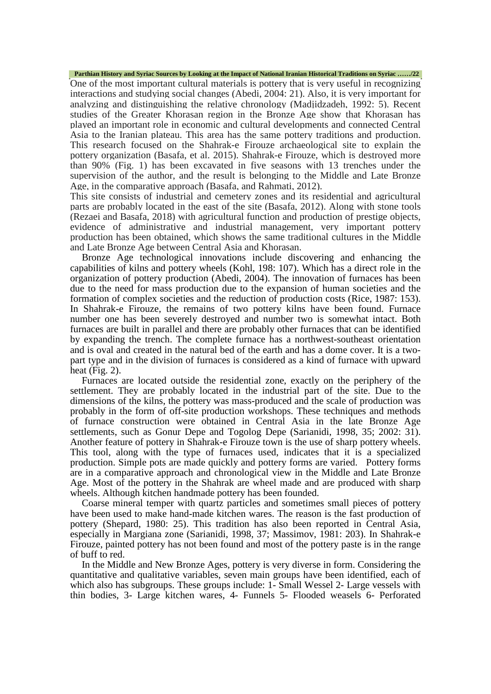**Parthian History and Syriac Sources by Looking at the Impact of National Iranian Historical Traditions on Syriac ……/22**

One of the most important cultural materials is pottery that is very useful in recognizing interactions and studying social changes (Abedi, 2004: 21). Also, it is very important for analyzing and distinguishing the relative chronology (Madjidzadeh, 1992: 5). Recent studies of the Greater Khorasan region in the Bronze Age show that Khorasan has played an important role in economic and cultural developments and connected Central Asia to the Iranian plateau. This area has the same pottery traditions and production. This research focused on the Shahrak-e Firouze archaeological site to explain the pottery organization (Basafa, et al. 2015). Shahrak-e Firouze, which is destroyed more than 90% (Fig. 1) has been excavated in five seasons with 13 trenches under the supervision of the author, and the result is belonging to the Middle and Late Bronze Age, in the comparative approach (Basafa, and Rahmati, 2012).

This site consists of industrial and cemetery zones and its residential and agricultural parts are probably located in the east of the site (Basafa, 2012). Along with stone tools (Rezaei and Basafa, 2018) with agricultural function and production of prestige objects, evidence of administrative and industrial management, very important pottery production has been obtained, which shows the same traditional cultures in the Middle and Late Bronze Age between Central Asia and Khorasan.

Bronze Age technological innovations include discovering and enhancing the capabilities of kilns and pottery wheels (Kohl, 198: 107). Which has a direct role in the organization of pottery production (Abedi, 2004). The innovation of furnaces has been due to the need for mass production due to the expansion of human societies and the formation of complex societies and the reduction of production costs (Rice, 1987: 153). In Shahrak-e Firouze, the remains of two pottery kilns have been found. Furnace number one has been severely destroyed and number two is somewhat intact. Both furnaces are built in parallel and there are probably other furnaces that can be identified by expanding the trench. The complete furnace has a northwest-southeast orientation and is oval and created in the natural bed of the earth and has a dome cover. It is a twopart type and in the division of furnaces is considered as a kind of furnace with upward heat (Fig. 2).

Furnaces are located outside the residential zone, exactly on the periphery of the settlement. They are probably located in the industrial part of the site. Due to the dimensions of the kilns, the pottery was mass-produced and the scale of production was probably in the form of off-site production workshops. These techniques and methods of furnace construction were obtained in Central Asia in the late Bronze Age settlements, such as Gonur Depe and Togolog Depe (Sarianidi, 1998, 35; 2002: 31). Another feature of pottery in Shahrak-e Firouze town is the use of sharp pottery wheels. This tool, along with the type of furnaces used, indicates that it is a specialized production. Simple pots are made quickly and pottery forms are varied. Pottery forms are in a comparative approach and chronological view in the Middle and Late Bronze Age. Most of the pottery in the Shahrak are wheel made and are produced with sharp wheels. Although kitchen handmade pottery has been founded.

Coarse mineral temper with quartz particles and sometimes small pieces of pottery have been used to make hand-made kitchen wares. The reason is the fast production of pottery (Shepard, 1980: 25). This tradition has also been reported in Central Asia, especially in Margiana zone (Sarianidi, 1998, 37; Massimov, 1981: 203). In Shahrak-e Firouze, painted pottery has not been found and most of the pottery paste is in the range of buff to red.

In the Middle and New Bronze Ages, pottery is very diverse in form. Considering the quantitative and qualitative variables, seven main groups have been identified, each of which also has subgroups. These groups include: 1- Small Wessel 2- Large vessels with thin bodies, 3- Large kitchen wares, 4- Funnels 5- Flooded weasels 6- Perforated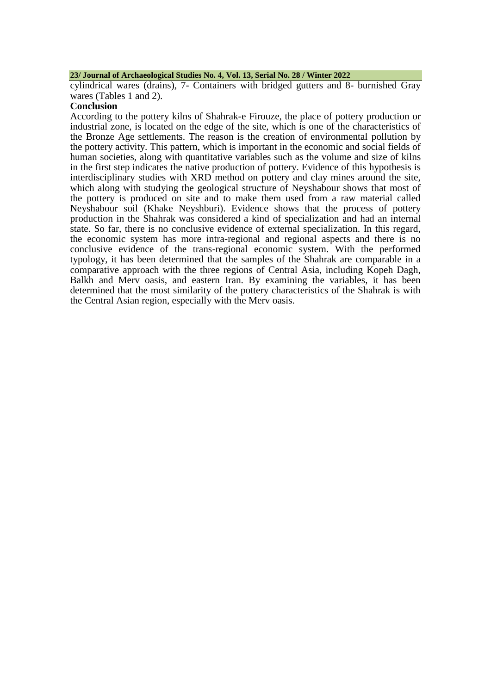#### **23/ Journal of Archaeological Studies No. 4, Vol. 13, Serial No. 28 / Winter 2022**

cylindrical wares (drains), 7- Containers with bridged gutters and 8- burnished Gray wares (Tables 1 and 2).

### **Conclusion**

According to the pottery kilns of Shahrak-e Firouze, the place of pottery production or industrial zone, is located on the edge of the site, which is one of the characteristics of the Bronze Age settlements. The reason is the creation of environmental pollution by the pottery activity. This pattern, which is important in the economic and social fields of human societies, along with quantitative variables such as the volume and size of kilns in the first step indicates the native production of pottery. Evidence of this hypothesis is interdisciplinary studies with XRD method on pottery and clay mines around the site, which along with studying the geological structure of Neyshabour shows that most of the pottery is produced on site and to make them used from a raw material called Neyshabour soil (Khake Neyshburi). Evidence shows that the process of pottery production in the Shahrak was considered a kind of specialization and had an internal state. So far, there is no conclusive evidence of external specialization. In this regard, the economic system has more intra-regional and regional aspects and there is no conclusive evidence of the trans-regional economic system. With the performed typology, it has been determined that the samples of the Shahrak are comparable in a comparative approach with the three regions of Central Asia, including Kopeh Dagh, Balkh and Merv oasis, and eastern Iran. By examining the variables, it has been determined that the most similarity of the pottery characteristics of the Shahrak is with the Central Asian region, especially with the Merv oasis.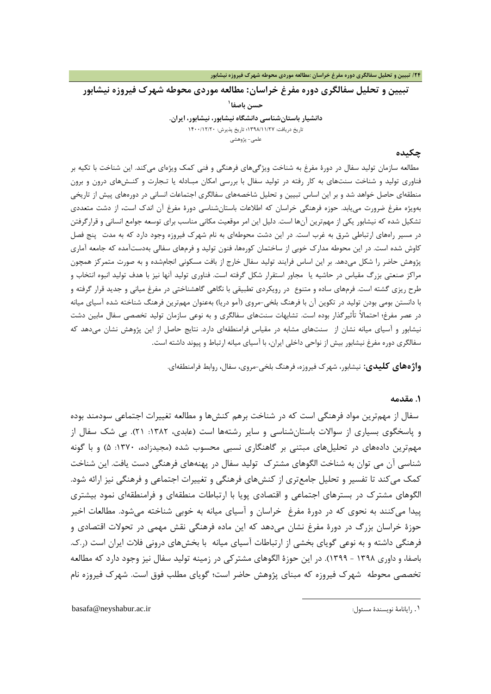**تبیین و تحلیل سفالگري دوره مفرغ خراسان: مطالعه موردي محوطه شهرك فیروزه نیشابور**

**[1](#page-3-0) حسن باصفا دانشیار باستانشناسی دانشگاه نیشابور، نیشابور، ایران.** تاریخ دریافت: 1398/11/27؛ تاریخ پذیرش: 1400/12/20 علمی- پژوهشی

### **چکیده**

مطالعه سازمان تولید سفال در دورة مفرغ به شناخت ویژگیهاي فرهنگی و فنی کمک ویژهاي میکند. این شناخت با تکیه بر فناوري تولید و شناخت سنتهاي به کار رفته در تولید سفال با بررسی امکان مبـادله یا تـجارت و کنـشهاي درون و برون منطقهاي حاصل خواهد شد و بر این اساس تبیین و تحلیل شاخصههاي سفالگري اجتماعات انسانی در دورههاي پیش از تاریخی بهویژه مفرغ ضرورت مییابد. حوزه فرهنگی خراسان که اطلاعات باستانشناسی دورة مفرغ آن اندك است، از دشت متعددي تشکیل شده که نیشابور یکی از مهمترین آنها است. دلیل این امر موقعیت مکانی مناسب براي توسعه جوامع انسانی و قرارگرفتن در مسیر راههاي ارتباطی شرق به غرب است. در این دشت محوطهاي به نام شهرك فیروزه وجود دارد که به مدت پنج فصل کاوش شده است. در این محوطه مدارك خوبی از ساختمان کورهها، فنون تولید و فرمهاي سفالی بهدستآمده که جامعه آماري پژوهش حاضر را شکل میدهد. بر این اساس فرایند تولید سفال خارج از بافت مسکونی انجامشده و به صورت متمرکز همچون مراکز صنعتی بزرگ مقیاس در حاشیه یا مجاور استقرار شکل گرفته است. فناوري تولید آنها نیز با هدف تولید انبوه انتخاب و طرح ریزي گشته است. فرمهاي ساده و متنوع در رویکردي تطبیقی با نگاهی گاهشناختی در مفرغ میانی و جدید قرار گرفته و با دانستن بومی بودن تولید در تکوین آن با فرهنگ بلخی-مروي (آمو دریا) بهعنوان مهمترین فرهنگ شناخته شده آسیاي میانه در عصر مفرغ؛ احتمالاً تأثیرگذار بوده است. تشابهات سنتهاي سفالگري و به نوعی سازمان تولید تخصصی سفال مابین دشت نیشابور و آسیاي میانه نشان از سنتهاي مشابه در مقیاس فرامنطقهاي دارد. نتایج حاصل از این پژوهش نشان میدهد که سفالگري دوره مفرغ نیشابور بیش از نواحی داخلی ایران، با آسیاي میانه ارتباط و پیوند داشته است.

**واژههاي کلیدي:** نیشابور، شهرك فیروزه، فرهنگ بلخی-مروي، سفال، روابط فرامنطقهاي.

1

#### **.1 مقدمه**

سفال از مهمترین مواد فرهنگی است که در شناخت برهم کنشها و مطالعه تغییرات اجتماعی سودمند بوده و پاسخگوي بسیاري از سوالات باستانشناسی و سایر رشتهها است (عابدي، :1382 21). بی شک سفال از مهمترین دادههاي در تحلیلهاي مبتنی بر گاهنگاري نسبی محسوب شده (مجیدزاده، :1370 5) و با گونه شناسی آن می توان به شناخت الگوهاي مشترك تولید سفال در پهنههاي فرهنگی دست یافت. این شناخت کمک میکند تا تفسیر و تحلیل جامعتري از کنشهاي فرهنگی و تغییرات اجتماعی و فرهنگی نیز ارائه شود. الگوهاي مشترك در بسترهاي اجتماعی و اقتصادي پویا با ارتباطات منطقهاي و فرامنطقهاي نمود بیشتري پیدا میکنند به نحوي که در دورة مفرغ خراسان و آسیاي میانه به خوبی شناخته میشود. مطالعات اخیر حوزة خراسان بزرگ در دورة مفرغ نشان میدهد که این ماده فرهنگی نقش مهمی در تحولات اقتصادي و فرهنگی داشته و به نوعی گویاي بخشی از ارتباطات آسیاي میانه با بخشهاي درونی فلات ایران است (ر.ك. باصفا، و داوري 1398 - 1399). در این حوزة الگوهاي مشترکی در زمینه تولید سفال نیز وجود دارد که مطالعه تخصصی محوطه شهرك فیروزه که مبناي پژوهش حاضر است؛ گویاي مطلب فوق است. شهرك فیروزه نام

<span id="page-3-0"></span>basafa@neyshabur.ac.ir :مسئول نویسندة رایانامۀ .۱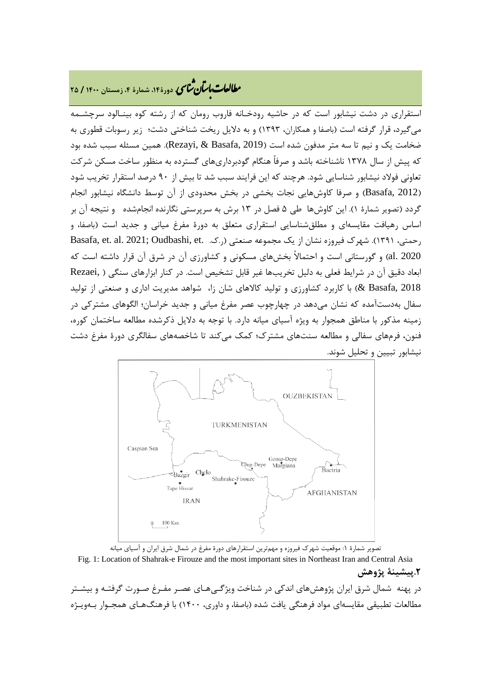# **، دورة،14 شمارة ،4 زمستان <sup>1400</sup> / <sup>25</sup>** �نا� �طا ی �عات با�تان

استقراري در دشت نیشابور است که در حاشیه رودخـانه فاروب رومان که از رشته کوه بینـالود سرچشـمه میگیرد، قرار گرفته است (باصفا و همکاران، 1393) و به دلایل ریخت شناختی دشت؛ زیر رسوبات قطوري به ضخامت یک و نیم تا سه متر مدفون شده است (2019 ,Basafa & ,Rezayi(. همین مسئله سبب شده بود که پیش از سال 1378 ناشناخته باشد و صرفاً هنگام گودبرداريهاي گسترده به منظور ساخت مسکن شرکت تعاونی فولاد نیشابور شناسایی شود. هرچند که این فرایند سبب شد تا بیش از 90 درصد استقرار تخریب شود (2012 ,Basafa (و صرفا کاوشهایی نجات بخشی در بخش محدودي از آن توسط دانشگاه نیشابور انجام گردد (تصویر شمارة 1). این کاوشها طی 5 فصل در 13 برش به سرپرستی نگارنده انجامشده و نتیجه آن بر اساس رهیافت مقایسهاي و مطلقشناسایی استقراري متعلق به دورة مفرغ میانی و جدید است (باصفا، و رحمتی، ١٣٩١). شهرك فیروزه نشان از یک مجموعه صنعتی (ر.ک. .Basafa, et. al. 2021; Oudbashi, et 2020 .al (و گورستانی است و احتمالاً بخشهاي مسکونی و کشاورزي آن در شرق آن قرار داشته است که ابعاد دقیق آن در شرایط فعلی به دلیل تخریبها غیر قابل تشخیص است. در کنار ابزارهاي سنگی ( ,Rezaei 2018 ,Basafa (& با کاربرد کشاورزي و تولید کالاهاي شان زا، شواهد مدیریت اداري و صنعتی از تولید سفال بهدستآمده که نشان میدهد در چهارچوب عصر مفرغ میانی و جدید خراسان؛ الگوهاي مشترکی در زمینه مذکور با مناطق همجوار به ویژه آسیاي میانه دارد. با توجه به دلایل ذکرشده مطالعه ساختمان کوره، فنون، فرمهاي سفالی و مطالعه سنتهاي مشترك؛ کمک میکند تا شاخصههاي سفالگري دورة مفرغ دشت نیشابور تبیین و تحلیل شوند.





Fig. 1: Location of Shahrak-e Firouze and the most important sites in Northeast Iran and Central Asia **.2پیشینۀ پژوهش**

در پهنه شمال شرق ایران پژوهشهاي اندکی در شناخت ویژگـی هـاي عصـر مفـرغ صـورت گرفتـه و بیشـتر مطالعات تطبیقی مقایسهاي مواد فرهنگی یافت شده (باصفا، و داوري، 1400) با فرهنگهـاي همجـوار بـ هویـژه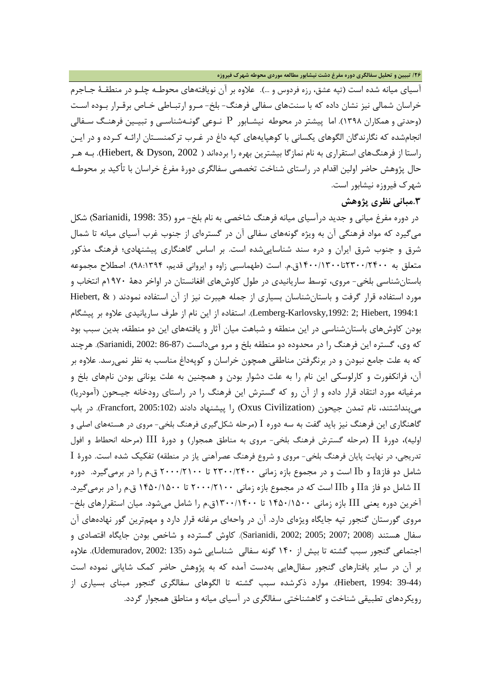آسیاي میانه شده است (تپه عشق، رزه فردوس و ...). علاوه بر آن نویافتههاي محوطـه چلـو در منطقـ ۀ جـاجرم خراسان شمالی نیز نشان داده که با سنتهاي سفالی فرهنگ- بلخ- مـرو ارتبـاطی خـاص برقـرار بـوده اسـت (وحدتی و همکاران 1398). اما پیشتر در محوطه نیشـابور P نـوعی گونـه شناسـی و تبیـین فرهنـگ سـفالی انجامشده که نگارندگان الگوهاي یکسانی با کوهپایههاي کپه داغ در غـرب ترکمنسـتان ار ائـه کـرده و در ایـن راستا از فرهنگهاي استقراري به نام نمازگا بیشترین بهره را بردهاند ( 2002 ,Dyson & ,Hiebert(. بـه هـر حال پژوهش حاضر اولین اقدام در راستاي شناخت تخصصی سفالگري دورة مفرغ خراسان با تأکید بر محوطـه شهرك فیروزه نیشابور است.

**.3مبانی نظري پژوهش**

در دوره مفرغ میانی و جدید درآسیاي میانه فرهنگ شاخصی به نام بلخ- مرو (35 1998: ,Sarianidi (شکل میگیرد که مواد فرهنگی آن به ویژه گونههاي سفالی آن در گسترهاي از جنوب غرب آسیاي میانه تا شمال شرق و جنوب شرق ایران و دره سند شناساییشده است. بر اساس گاهنگاري پیشنهادي؛ فرهنگ مذکور متعلق به 2300/2400تا1400/1300ق.م. است (طهماسبی زاوه و ایروانی قدیم، 98:1394). اصطلاح مجموعه باستانشناسی بلخی- مروي، توسط ساریانیدي در طول کاوشهاي افغانستان در اواخر دهۀ 1970م انتخاب و مورد استفاده قرار گرفت و باستانشناسان بسیاري از جمله هیبرت نیز از آن استفاده نمودند ( & ,Hiebert 1994:1 ,Hiebert; 2 ,1992:Karlovsky-Lemberg(. استفاده از این نام از طرف ساریانیدي علاوه بر پیشگام بودن کاوشهاي باستانشناسی در این منطقه و شباهت میان آثار و یافتههاي این دو منطقه، بدین سبب بود که وي، گستره این فرهنگ را در محدوده دو منطقه بلخ و مرو میدانست (86-87 2002: ,Sarianidi(. هرچند که به علت جامع نبودن و در برنگرفتن مناطقی همچون خراسان و کوپهداغ مناسب به نظر نمیرسد. علاوه بر آن، فرانکفورت و کارلوسکی این نام را به علت دشوار بودن و همچنین به علت یونانی بودن نامهاي بلخ و مرغیانه مورد انتقاد قرار داده و از آن رو که گسترش این فرهنگ را در راستاي رودخانه جیـحون (آمودریا) میپنداشتند، نام تمدن جیحون (Oxus Civilization) را پیشنهاد دادند (Francfort, 2005:102). در باب گاهنگاري این فرهنگ نیز باید گفت به سه دوره I) مرحله شکلگیري فرهنگ بلخی- مروي در هستههاي اصلی و اولیه)، دورة II) مرحله گسترش فرهنگ بلخی- مروي به مناطق همجوار) و دورة III) مرحله انحطاط و افول تدریجی، در نهایت پایان فرهنگ بلخی- مروي و شروع فرهنگ عصرآهنی یاز در منطقه) تفکیک شده است. دورة I شامل دو فازIa و Ib است و در مجموع بازه زمانی 2300/2400 تا 2000/2100 ق.م را در برمیگیرد. دوره II شامل دو فاز IIa و IIb است که در مجموع بازه زمانی 2000/2100 تا 1450/1500 ق.م را در برمیگیرد. آخرین دوره یعنی III بازه زمانی 1450/1500 تا 1300/1400ق.م را شامل میشود. میان استقرارهاي بلخ- مروي گورستان گنجور تپه جایگاه ویژهاي دارد. آن در واحهاي مرغانه قرار دارد و مهمترین گور نهادههاي آن سفال هستند (2008 ;2007 ;2005 ;2002 ,Sarianidi(. کاوش گسترده و شاخص بودن جایگاه اقتصادي و اجتماعی گنجور سبب گشته تا بیش از 140 گونه سفالی شناسایی شود (135 2002: ,Udemuradov(. علاوه بر آن در سایر بافتارهاي گنجور سفالهایی بهدست آمده که به پژوهش حاضر کمک شایانی نموده است (39-44 1994: ,Hiebert(. موارد ذکرشده سبب گشته تا الگوهاي سفالگري گنجور مبناي بسیاري از رویکردهاي تطبیقی شناخت و گاهشناختی سفالگري در آسیاي میانه و مناطق همجوار گردد.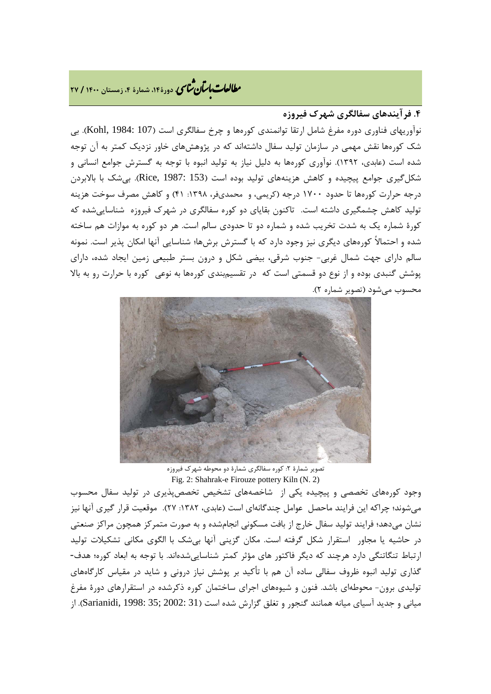# **، دورة،14 شمارة ،4 زمستان <sup>1400</sup> / <sup>27</sup>** �نا� �طا ی �عات با�تان

### **.4 فرآیندهاي سفالگري شهرك فیروزه**

نوآوریهاي فناوري دوره مفرغ شامل ارتقا توانمندي کورهها و چرخ سفالگري است (107 :Kohl, 1984). بي شک کورهها نقش مهمی در سازمان تولید سفال داشتهاند که در پژوهشهاي خاور نزدیک کمتر به آن توجه شده است (عابدي، 1392). نوآوري کورهها به دلیل نیاز به تولید انبوه با توجه به گسترش جوامع انسانی و شکلگیری جوامع پیچیده و کاهش هزینههای تولید بوده است (153 :Rice, 1987). بیشک با بالابردن درجه حرارت کورهها تا حدود 1700 درجه (کریمی، و محمديفر، :1398 41) و کاهش مصرف سوخت هزینه تولید کاهش چشمگیري داشته است. تاکنون بقایاي دو کوره سفالگري در شهرك فیروزه شناساییشده که کورة شماره یک به شدت تخریب شده و شماره دو تا حدودي سالم است. هر دو کوره به موازات هم ساخته شده و احتمالاً کورههاي دیگري نیز وجود دارد که با گسترش برشها؛ شناسایی آنها امکان پذیر است. نمونه سالم داراي جهت شمال غربی- جنوب شرقی، بیضی شکل و درون بستر طبیعی زمین ایجاد شده، داراي پوشش گنبدي بوده و از نوع دو قسمتی است که در تقسیمبندي کورهها به نوعی کوره با حرارت رو به بالا محسوب میشود (تصویر شماره 2).



تصویر شمارة ٢: کوره سفالگری شمارة دو محوطه شهرک فیروزه Fig. 2: Shahrak-e Firouze pottery Kiln (N. 2)

وجود کورههاي تخصصی و پیچیده یکی از شاخصههاي تشخیص تخصصپذیري در تولید سفال محسوب میشوند؛ چراکه این فرایند ماحصل عوامل چندگانهاي است (عابدي، :1382 27). موقعیت قرار گیري آنها نیز نشان میدهد؛ فرایند تولید سفال خارج از بافت مسکونی انجامشده و به صورت متمرکز همچون مراکز صنعتی در حاشیه یا مجاور استقرار شکل گرفته است. مکان گزینی آنها بیشک با الگوي مکانی تشکیلات تولید ارتباط تنگاتنگی دارد هرچند که دیگر فاکتور هاي مؤثر کمتر شناساییشدهاند. با توجه به ابعاد کوره؛ هدف- گذاري تولید انبوه ظروف سفالی ساده آن هم با تأکید بر پوشش نیاز درونی و شاید در مقیاس کارگاههاي تولیدي برون- محوطهاي باشد. فنون و شیوههاي اجراي ساختمان کوره ذکرشده در استقرارهاي دورة مفرغ میانی و جدید آسیای میانه همانند گنجور و تغلق گزارش شده است (31 :Sarianidi, 1998: 35; 2002). از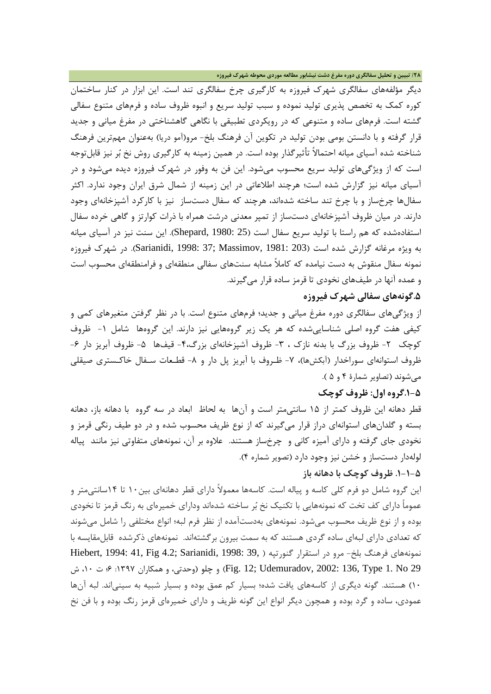**/28 تبیین و تحلیل سفالگري دوره مفرغ دشت نیشابور مطالعه موردي محوطه شهرك فیروزه**

دیگر مؤلفههاي سفالگري شهرك فیروزه به کارگیري چرخ سفالگري تند است. این ابزار در کنار ساختمان کوره کمک به تخصص پذیري تولید نموده و سبب تولید سریع و انبوه ظروف ساده و فرمهاي متنوع سفالی گشته است. فرمهاي ساده و متنوعی که در رویکردي تطبیقی با نگاهی گاهشناختی در مفرغ میانی و جدید قرار گرفته و با دانستن بومی بودن تولید در تکوین آن فرهنگ بلخ- مرو(آمو دریا) بهعنوان مهمترین فرهنگ شناخته شده آسیاي میانه احتمالاً تأثیرگذار بوده است. در همین زمینه به کارگیري روش نخ بر نیز قابلتوجه است که از ویژگیهاي تولید سریع محسوب میشود. این فن به وفور در شهرك فیروزه دیده میشود و در آسیاي میانه نیز گزارش شده است؛ هرچند اطلاعاتی در این زمینه از شمال شرق ایران وجود ندارد. اکثر سفالها چرخساز و با چرخ تند ساخته شدهاند، هرچند که سفال دستساز نیز با کارکرد آشپزخانهاي وجود دارند. در میان ظروف آشپزخانهاي دستساز از تمپر معدنی درشت همراه با ذرات کوارتز و گاهی خرده سفال استفادهشده که هم راستا با تولید سریع سفال است (25 1980: ,Shepard(. این سنت نیز در آسیاي میانه به ویژه مرغانه گزارش شده است (203 1981: ,Massimov; 37 1998: ,Sarianidi(. در شهرك فیروزه نمونه سفال منقوش به دست نیامده که کاملاً مشابه سنتهاي سفالی منطقهاي و فرامنطقهاي محسوب است و عمده آنها در طیفهاي نخودي تا قرمز ساده قرار میگیرند.

### **.5گونههاي سفالی شهرك فیروزه**

از ویژگیهاي سفالگري دوره مفرغ میانی و جدید؛ فرمهاي متنوع است. با در نظر گرفتن متغیرهاي کمی و کیفی هفت گروه اصلی شناساییشده که هر یک زیر گروههایی نیز دارند. این گروهها شامل -1 ظروف کوچک ۲- ظروف بزرگ با بدنه نازک ، ۳- ظروف آشپزخانهای بزرگ۴- قیفها ۵- ظروف آبریز دار ۶-ظروف استوانهای سوراخدار (آبکشها)، ۷- ظـروف با آبریز پل دار و ۸- قطـعات سـفال خاکـستری صیقلی میشوند (تصاویر شمارة 4 و 5 ).

### **.1-5گروه اول: ظروف کوچک**

قطر دهانه این ظروف کمتر از 15 سانتیمتر است و آنها به لحاظ ابعاد در سه گروه با دهانه باز، دهانه بسته و گلدانهاي استوانهاي دراز قرار میگیرند که از نوع ظریف محسوب شده و در دو طیف رنگی قرمز و نخودي جاي گرفته و داراي آمیزه کانی و چرخساز هستند. علاوه بر آن، نمونههاي متفاوتی نیز مانند پیاله لولهدار دستساز و خشن نیز وجود دارد (تصویر شماره 4).

### **.1-1-5 ظروف کوچک با دهانه باز**

این گروه شامل دو فرم کلی کاسه و پیاله است. کاسهها معمولاً داراي قطر دهانهاي بین10 تا 14سانتیمتر و عموماً داراي کف تخت که نمونههایی با تکنیک نخ بر ساخته شدهاند وداراي خمیرهاي به رنگ قرمز تا نخودي بوده و از نوع ظریف محسوب میشود. نمونههاي بهدستآمده از نظر فرم لبه؛ انواع مختلفی را شامل میشوند که تعدادي داراي لبهاي ساده گردي هستند که به سمت بیرون برگشتهاند. نمونههاي ذکرشده قابلمقایسه با نمونههاي فرهنگ بلخ- مرو در استقرار گنورتپه ( 39, 1998: 1994: 41, Fig 4.2; Sarianidi, 1998: 39 29 No 1. Type 136, 2002: ,Udemuradov; 12 .Fig (و چلو (وحدتی، و همکاران :1397 6؛ ت ،10 ش 10) هستند. گونه دیگري از کاسههاي یافت شده؛ بسیار کم عمق بوده و بسیار شبیه به سینیاند. لبه آنها عمودي، ساده و گرد بوده و همچون دیگر انواع این گونه ظریف و داراي خمیرهاي قرمز رنگ بوده و با فن نخ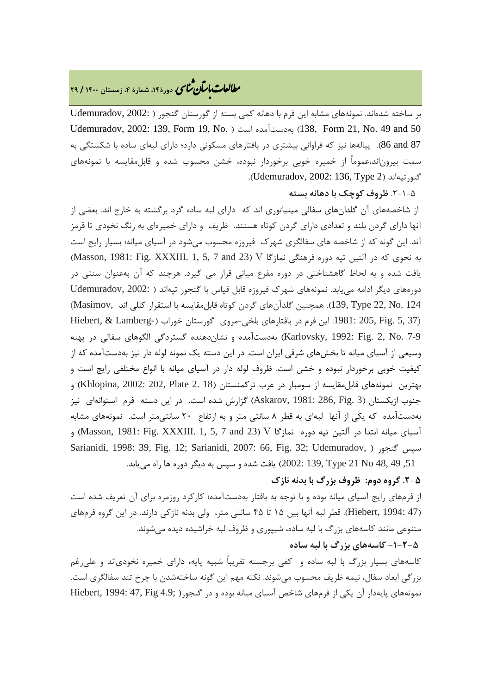# **، دورة،14 شمارة ،4 زمستان <sup>1400</sup> / <sup>29</sup>** �نا� �طا ی �عات با�تان

بر ساخته شدهاند. نمونههاي مشابه این فرم با دهانه کمی بسته از گورستان گنجور ( 2002: ,Udemuradov Udemuradov, 2002: 139, Form 19, No. ) است بهدستآمده) 138, Form 21, No. 49 and 50 87 and 86(. پیالهها نیز که فراوانی بیشتري در بافتارهاي مسکونی دارد؛ داراي لبهاي ساده با شکستگی به سمت بیروناند،عموماً از خمیره خوبی برخوردار نبوده، خشن محسوب شده و قابلمقایسه با نمونههاي .(Udemuradov, 2002: 136, Type 2) گنورتپهاند

### .2-1-5 **ظروف کوچک با دهانه بسته**

از شاخصههاي آن گلدانهاي سفالی مینیاتوري اند که داراي لبه ساده گرد برگشته به خارج اند. بعضی از آنها داراي گردن بلند و تعدادي داراي گردن کوتاه هستند. ظریف و داراي خمیرهاي به رنگ نخودي تا قرمز آند. این گونه که از شاخصه هاي سفالگري شهرك فیروزه محسوب میشود در آسیاي میانه؛ بسیار رایج است به نحوي که در آلتين تپه دوره فرهنگي نمازگا V) 23 Masson, 1981: Fig. XXXIII. 1, 5, 7 and 23) یافت شده و به لحاظ گاهشناختی در دوره مفرغ میانی قرار می گیرد. هرچند که آن بهعنوان سنتی در دورههاي دیگر ادامه مییابد. نمونههاي شهرك فیروزه قابل قیاس با گنجور تپهاند ( 2002: ,Udemuradov 124 .No 22, Type 139,(. همچنین گلدآنهاي گردن کوتاه قابلمقایسه با استقرار کللی اند ,Masimov( Hiebert, & Lamberg-) این فرم در بافتارهای بلخی-مروی گورستان خوراب (-Hiebert, & Lamberg 7-9 .No 2, .Fig 1992: ,Karlovsky (بهدستآمده و نشاندهنده گستردگی الگوهاي سفالی در پهنه وسیعی از آسیاي میانه تا بخشهاي شرقی ایران است. در این دسته یک نمونه لوله دار نیز بهدستآمده که از کیفیت خوبی برخوردار نبوده و خشن است. ظروف لوله دار در آسیاي میانه با انواع مختلفی رایج است و بهترین نمونههای قابلمقایسه از سومبار در غرب ترکمنستان (18 .Khlopina, 2002: 202, Plate 2. 18) و جنوب ازبکستان (3 .Fig 286, 1981: ,Askarov (گزارش شده است. در این دسته فرم استوانهاي نیز بهدستآمده که یکی از آنها لبهاي به قطر 8 سانتی متر و به ارتفاع 20 سانتیمتر است. نمونههاي مشابه آسیای میانه ابتدا در آلتین تپه دوره نمازگا Wasson, 1981: Fig. XXXIII. 1, 5, 7 and 23) V) و Sarianidi, 1998: 39, Fig. 12; Sarianidi, 2007: 66, Fig. 32; Udemuradov, ) گنجور سپس ,51 49 48, No 21 Type 139, 2002: (یافت شده و سپس به دیگر دوره ها راه مییابد.

### **.2-5 گروه دوم: ظروف بزرگ با بدنه نازك**

از فرمهاي رایج آسیاي میانه بوده و با توجه به بافتار بهدستآمده؛ کارکرد روزمره براي آن تعریف شده است (47 1994: ,Hiebert(. قطر لبه آنها بین 15 تا 45 سانتی متر، ولی بدنه نازکی دارند. در این گروه فرمهاي متنوعی مانند کاسههاي بزرگ با لبه ساده، شیپوري و ظروف لبه خراشیده دیده میشوند.

# **-1-2-5 کاسههاي بزرگ با لبه ساده**

کاسههاي بسیار بزرگ با لبه ساده و کفی برجسته تقریباً شبیه پایه، داراي خمیره نخودياند و علیرغم بزرگی ابعاد سفال، نیمه ظریف محسوب میشوند. نکته مهم این گونه ساختهشدن با چرخ تند سفالگري است. نمونههاي پایهدار آن یکی از فرمهاي شاخص آسیاي میانه بوده و در گنجور( ;4.9 Hiebert, 1994: 47, Fig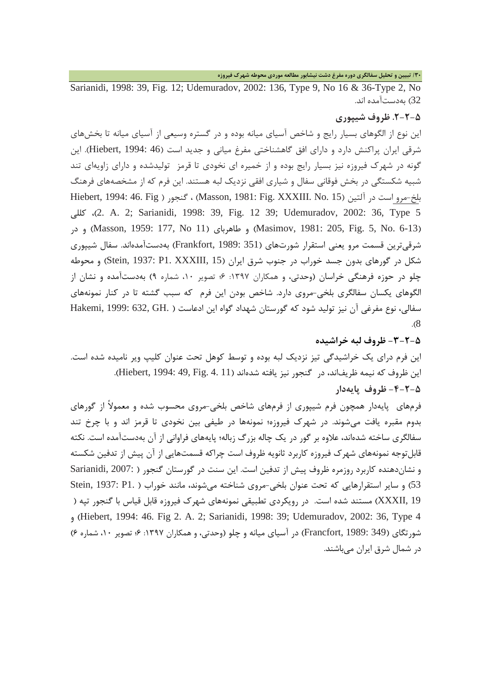**/30 تبیین و تحلیل سفالگري دوره مفرغ دشت نیشابور مطالعه موردي محوطه شهرك فیروزه**

Sarianidi, 1998: 39, Fig. 12; Udemuradov, 2002: 136, Type 9, No 16 & 36-Type 2, No 32) بهدستآمده اند.

### **.2-2-5 ظروف شیپوري**

این نوع از الگوهاي بسیار رایج و شاخص آسیاي میانه بوده و در گستره وسیعی از آسیاي میانه تا بخشهاي شرقی ایران پراکنش دارد و دارای افق گاهشناختی مفرغ میانی و جدید است (46 :Hiebert, 1994). این گونه در شهرك فیروزه نیز بسیار رایج بوده و از خمیره اي نخودي تا قرمز تولیدشده و داراي زاویهاي تند شبیه شکستگی در بخش فوقانی سفال و شیاري افقی نزدیک لبه هستند. این فرم که از مشخصههاي فرهنگ بلخ-مرو است در آلتین (15 .No .15) Hiebert, 1994: 46. Fig ، گنجور ( Masson, 1981: Fig. XXXIII. No کللی ،)2. A. 2; Sarianidi, 1998: 39, Fig. 12 39; Udemuradov, 2002: 36, Type 5 در و) Masson, 1959: 177, No 11) طاهرباي و) Masimov, 1981: 205, Fig. 5, No. 6-13) شرقیترین قسمت مرو یعنی استقرار شورتهاي (351 1989: ,Frankfort (بهدستآمدهاند. سفال شیپوري شکل در گورهای بدون جسد خوراب در جنوب شرق ایران (Stein, 1937: P1. XXXIII, 15) و محوطه چلو در حوزه فرهنگی خراسان (وحدتی، و همکاران :1397 6؛ تصویر ،10 شماره 9) بهدستآمده و نشان از الگوهاي یکسان سفالگري بلخی-مروي دارد. شاخص بودن این فرم که سبب گشته تا در کنار نمونههاي سفالی، نوع مفرغی آن نیز تولید شود که گورستان شهداد گواه این ادعاست ( .GH 632, 1999: ,Hakemi .(8

**-3-2-5 ظروف لبه خراشیده** این فرم دراي یک خراشیدگی تیز نزدیک لبه بوده و توسط کوهل تحت عنوان کلیپ ویر نامیده شده است. این ظروف که نیمه ظریفاند، در گنجور نیز یافته شدهاند (Hiebert, 1994: 49, Fig. 4. 11). **-4-2-5 ظروف پایهدار**

فرمهاي پایهدار همچون فرم شیپوري از فرمهاي شاخص بلخی-مروي محسوب شده و معمولاً از گورهاي بدوم مقبره یافت میشوند. در شهرك فیروزه؛ نمونهها در طیفی بین نخودي تا قرمز اند و با چرخ تند سفالگري ساخته شدهاند، علاوه بر گور در یک چاله بزرگ زباله؛ پایههاي فراوانی از آن بهدستآمده است. نکته قابلتوجه نمونههاي شهرك فیروزه کاربرد ثانویه ظروف است چراکه قسمتهایی از آن پیش از تدفین شکسته و نشاندهنده کاربرد روزمره ظروف پیش از تدفین است. این سنت در گورستان گنجور ( 2007: ,Sarianidi 53) و سایر استقرارهایی که تحت عنوان بلخی-مروی شناخته می شوند، مانند خوراب ( .Stein, 1937: P1 19 ,XXXII (مستند شده است. در رویکردي تطبیقی نمونههاي شهرك فیروزه قابل قیاس با گنجور تپه ( و) Hiebert, 1994: 46. Fig 2. A. 2; Sarianidi, 1998: 39; Udemuradov, 2002: 36, Type 4 شورتگاي (349 1989: ,Francfort (در آسیاي میانه و چلو (وحدتی، و همکاران :1397 6؛ تصویر ،10 شماره 6) در شمال شرق ایران میباشند.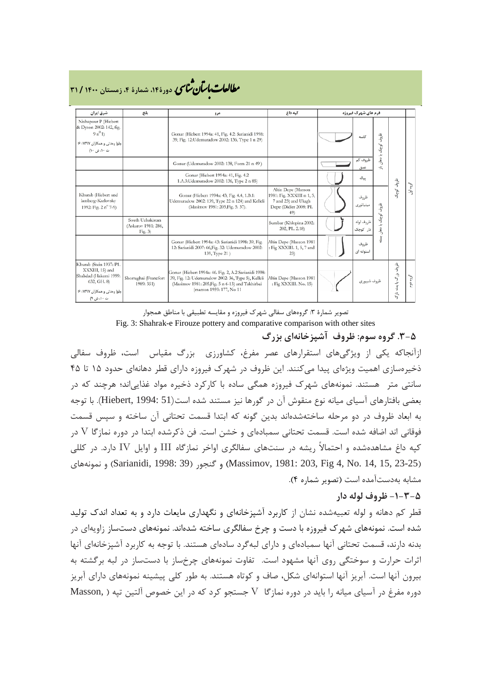| مطالعات با <i>سآن مثالی</i> دورهٔ ۱۴، شمارهٔ ۴، زمستان ۱۴۰۰ / ۳۱ |  |
|------------------------------------------------------------------|--|
|------------------------------------------------------------------|--|

| شرق ایران                                                                                                                         | بلخ                                                  | مرو                                                                                                                                                                                         | کیه داغ                                                                                                | فرم های شهرک فیروزه |                                             |                            |          |
|-----------------------------------------------------------------------------------------------------------------------------------|------------------------------------------------------|---------------------------------------------------------------------------------------------------------------------------------------------------------------------------------------------|--------------------------------------------------------------------------------------------------------|---------------------|---------------------------------------------|----------------------------|----------|
| Nishapour P (Hiebert<br>& Dyson 2002: 142, fig.<br>$9n^01$<br>چلو( وحدتی و همکاران ۱۳۹۷: ۶۶<br>ت ١٠، ش ١٠)                        |                                                      | Gonur (Hiebert 1994a: 41, Fig. 4.2: Sarianidi 1998:<br>39, Fig. 12: Udemuradow 2002: 136, Type 1 n 29)                                                                                      |                                                                                                        |                     | ظروف<br>كاسه<br>كوچک                        |                            |          |
|                                                                                                                                   |                                                      | Gonur (Udemuradow 2002: 138, Form 21 n 49)                                                                                                                                                  |                                                                                                        |                     | با دهان<br>ظروف کم<br>÷<br>عمق              |                            |          |
|                                                                                                                                   |                                                      | Gonur (Hiebert 1994a: 41, Fig. 4.2<br>1.A.3: Udemuradow 2002: 136, Type 2 n 85)                                                                                                             |                                                                                                        |                     | يباله                                       |                            |          |
| Khurab (Hiebert and<br>lamberg-Karlovsky<br>1992: Fig. 2 n° 7-9)                                                                  |                                                      | Gonur (Hiebert 1994a: 43, Fig. 4.4, 1.B.1:<br>Udemuradow 2002: 139, Type 22 n 124) and Kelleli<br>(Masimov 1981: 205, Fig. 5.37).                                                           | Altin Depe (Masson<br>1981: Fig. XXXIII n 1, 5,<br>7 and 23) and Ulugh<br>Depe (Didier 2008: PL<br>49) |                     | ظروف<br>مينياتورى<br>ظہ<br>ر                | شروش وشركة                 | گروه اول |
|                                                                                                                                   | South Uzbakistan<br>(Askarov 1981: 286,<br>Fig. $3)$ |                                                                                                                                                                                             | Sumbar (Khlopina 2002:<br>202, PL. 2.18)                                                               |                     | کوچک<br>ظروف لوله<br>تد<br>ڍھان<br>دار کوچک |                            |          |
|                                                                                                                                   |                                                      | Gonur (Hiebert 1994a: 43: Sarianidi 1998: 39, Fig.<br>12: Sarianidi 2007: 66, Fig. 32: Udemuradow 2002:<br>139, Type 21)                                                                    | Altin Depe (Masson 1981<br>: Fig XXXIII. 1, 5, 7 and<br>(23)                                           |                     | J<br>ظروف<br>استوانه ای                     |                            |          |
| Khurab (Stein 1937: P1.<br>XXXIII, 15) and<br>Shahdad (Hakemi 1999:<br>632, GH. 8)<br>چلو( وحدتی و همکاران ۱۳۹۷: ۶۶<br>ت ١٠، ش ٩) | Shortughai (Francfort<br>1989: 351)                  | Gonur (Hiebert 1994a: 46. Fig. 2, A.2 Sarianidi 1998:<br>39, Fig. 12: Udemuradow 2002: 36, Type 5), Kelleli<br>(Masimov 1981: 205, Fig. 5 n 6-13) and Takhirbai<br>(masson 1959: 177, No 11 | Altin Depe (Masson 1981<br>: Fig XXXIII. No. 15)                                                       |                     | ظروف شيپورى                                 | ظروف<br>بزرگ با بدنه ناز ک | گروه دوم |

تصویر شمارة ٣: گروههای سفالی شهرک فیروزه و مقایسه تطبیقی با مناطق همجوار Fig. 3: Shahrak-e Firouze pottery and comparative comparison with other sites

**.3-5 گروه سوم: ظروف آشپزخانهاي بزرگ** ازآنجاکه یکی از ویژگیهاي استقرارهاي عصر مفرغ، کشاورزي بزرگ مقیاس است، ظروف سفالی ذخیرهسازي اهمیت ویژهاي پیدا میکنند. این ظروف در شهرك فیروزه داراي قطر دهانهاي حدود 15 تا 45 سانتی متر هستند. نمونههاي شهرك فیروزه همگی ساده با کارکرد ذخیره مواد غذاییاند؛ هرچند که در بعضی بافتارهاي آسیاي میانه نوع منقوش آن در گورها نیز مستند شده است(51 1994: ,Hiebert(. با توجه به ابعاد ظروف در دو مرحله ساختهشدهاند بدین گونه که ابتدا قسمت تحتانی آن ساخته و سپس قسمت فوقانی اند اضافه شده است. قسمت تحتانی سمبادهاي و خشن است. فن ذکرشده ابتدا در دوره نمازگا V در کپه داغ مشاهدهشده و احتمالاً ریشه در سنتهاي سفالگري اواخر نمازگاه III و اوایل IV دارد. در کللی (23-23 (23-35 Sarianidi, 1998: 39) و گنجور (39 :Sarianidi, 1998) و نمونههاي (Garianidi, 1998) و نمونههاي مشابه بهدستآمده است (تصویر شماره 4).

### **-1-3-5 ظروف لوله دار**

قطر کم دهانه و لوله تعبیهشده نشان از کاربرد آشپزخانهاي و نگهداري مایعات دارد و به تعداد اندك تولید شده است. نمونههاي شهرك فیروزه با دست و چرخ سفالگري ساخته شدهاند. نمونههاي دستساز زاویهاي در بدنه دارند، قسمت تحتانی آنها سمبادهاي و داراي لبهگرد سادهاي هستند. با توجه به کاربرد آشپزخانهاي آنها اثرات حرارت و سوختگی روي آنها مشهود است. تفاوت نمونههاي چرخساز با دستساز در لبه برگشته به بیرون آنها است. آبریز آنها استوانهاي شکل، صاف و کوتاه هستند. به طور کلی پیشینه نمونههاي داراي آبریز دوره مفرغ در آسیاي میانه را باید در دوره نمازگا V جستجو کرد که در این خصوص آلتین تپه ( ,Masson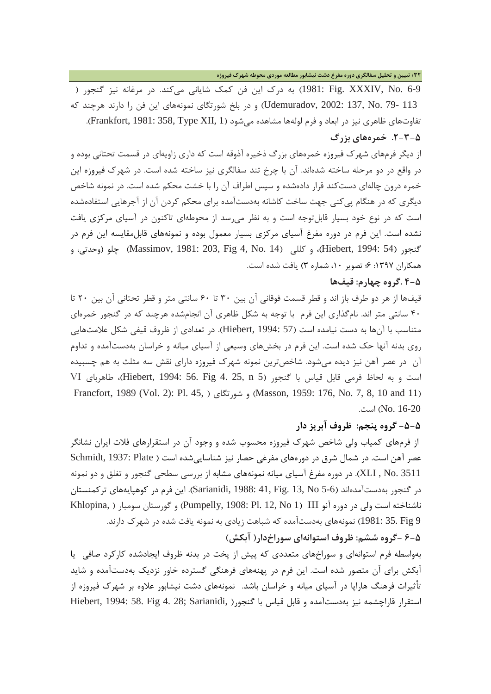**/32 تبیین و تحلیل سفالگري دوره مفرغ دشت نیشابور مطالعه موردي محوطه شهرك فیروزه**

6-9 .No ,XXXIV .Fig 1981: (به درك این فن کمک شایانی میکند. در مرغانه نیز گنجور ( 113 79- .No 137, 2002: ,Udemuradov (و در بلخ شورتگاي نمونههاي این فن را دارند هرچند که تفاوتهاي ظاهري نيز در ابعاد و فرم لولهها مشاهده مي شود (1 ,Frankfort, 1981: 358, Type XII). **.2-3-5 خمرههاي بزرگ**

از دیگر فرمهاي شهرك فیروزه خمرههاي بزرگ ذخیره آذوقه است که داري زاویهاي در قسمت تحتانی بوده و در واقع در دو مرحله ساخته شدهاند. آن با چرخ تند سفالگري نیز ساخته شده است. در شهرك فیروزه این خمره درون چالهاي دستکند قرار دادهشده و سپس اطراف آن را با خشت محکم شده است. در نمونه شاخص دیگري که در هنگام پیکنی جهت ساخت کاشانه بهدستآمده براي محکم کردن آن از آجرهایی استفادهشده است که در نوع خود بسیار قابلتوجه است و به نظر میرسد از محوطهاي تاکنون در آسیاي مرکزي یافت نشده است. این فرم در دوره مفرغ آسیاي مرکزي بسیار معمول بوده و نمونههاي قابلمقایسه این فرم در گنجور (54 1994: ,Hiebert(، و کللی (14 .No 4, Fig 203, 1981: ,Massimov (چلو (وحدتی، و همکاران :1397 6؛ تصویر ،10 شماره 3) یافت شده است.

### **4-5 .گروه چهارم: قیفها**

قیفها از هر دو طرف باز اند و قطر قسمت فوقانی آن بین 30 تا 60 سانتی متر و قطر تحتانی آن بین 20 تا 40 سانتی متر اند. نامگذاري این فرم با توجه به شکل ظاهري آن انجامشده هرچند که در گنجور خمرهاي متناسب با آنها به دست نیامده است (57 1994: ,Hiebert(. در تعدادي از ظروف قیفی شکل علامتهایی روي بدنه آنها حک شده است. این فرم در بخشهاي وسیعی از آسیاي میانه و خراسان بهدستآمده و تداوم آن در عصر آهن نیز دیده میشود. شاخصترین نمونه شهرك فیروزه داراي نقش سه مثلث به هم چسبیده است و به لحاظ فرمی قابل قیاس با گنجور (5 n 25, 4. Fig 56. 1994: ,Hiebert(، طاهرباي VI Francfort, 1989 (Vol. 2): Pl. 45, ) شورتگاي و) Masson, 1959: 176, No. 7, 8, 10 and 11) No. 16-20) است.

# **-5-5 گروه پنجم: ظروف آبریز دار**

از فرمهاي کمیاب ولی شاخص شهرك فیروزه محسوب شده و وجود آن در استقرارهاي فلات ایران نشانگر عصر آهن است. در شمال شرق در دورههاي مفرغي حصار نيز شناسايي شده است ( Schmidt, 1937: Plate 3511 .No , XLI(. در دوره مفرغ آسیاي میانه نمونههاي مشابه از بررسی سطحی گنجور و تغلق و دو نمونه در گنجور بهدستآمدهاند (5-6 No 13, .Fig 41, 1988: ,Sarianidi(. این فرم در کوهپایههاي ترکمنستان ناشناخته است ولی در دوره آنو Pumpelly, 1908: Pl. 12, No 1) III) و گورستان سومبار ( ,Khlopina 9 Fig 35. 1981: (نمونههاي بهدستآمده که شباهت زیادي به نمونه یافت شده در شهرك دارند.

**6-5 -گروه ششم: ظروف استوانهاي سوراخدار( آبکش)**

بهواسطه فرم استوانهاي و سوراخهاي متعددي که پیش از پخت در بدنه ظروف ایجادشده کارکرد صافی یا آبکش براي آن متصور شده است. این فرم در پهنههاي فرهنگی گسترده خاور نزدیک بهدستآمده و شاید تأثیرات فرهنگ هاراپا در آسیاي میانه و خراسان باشد. نمونههاي دشت نیشابور علاوه بر شهرك فیروزه از استقرار قاراچشمه نیز بهدستآمده و قابل قیاس با گنجور( ,Hiebert, 1994: 58. Fig 4. 28; Sarianidi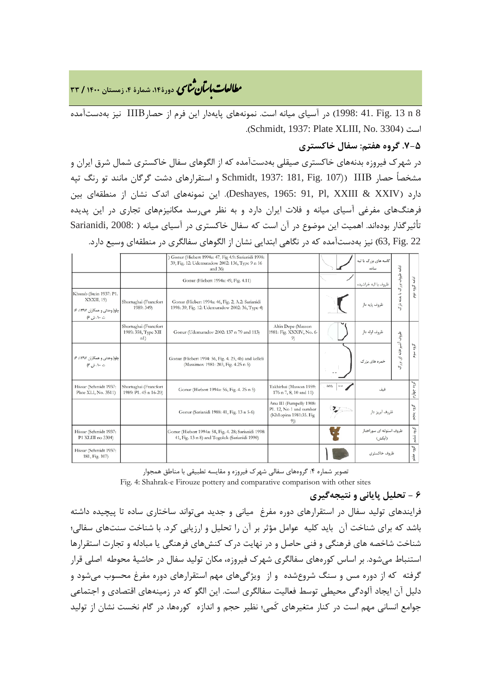**، دورة،14 شمارة ،4 زمستان <sup>1400</sup> / <sup>33</sup>** �نا� �طا ی �عات با�تان

8 n 13 .Fig 41. 1998: (در آسیاي میانه است. نمونههاي پایهدار این فرم از حصارIIIB نیز بهدستآمده .(Schmidt, 1937: Plate XLIII, No. 3304) است

# **.7-5 گروه هفتم: سفال خاکستري**

در شهرك فیروزه بدنههاي خاکستري صیقلی بهدستآمده که از الگوهاي سفال خاکستري شمال شرق ایران و مشخصاً حصار IIIB)) 107 .Fig 181, 1937: ,Schmidt و استقرارهاي دشت گرگان مانند تو رنگ تپه دارد (XXIV & XXIII ,Pl 91, 1965: ,Deshayes(. این نمونههاي اندك نشان از منطقهاي بین فرهنگهاي مفرغی آسیاي میانه و فلات ایران دارد و به نظر میرسد مکانیزمهاي تجاري در این پدیده تأثیرگذار بودهاند. اهمیت این موضوع در آن است که سفال خاکستری در آسیای میانه ( :Sarianidi, 2008 22 .Fig 63, (نیز بهدستآمده که در نگاهی ابتدایی نشان از الگوهاي سفالگري در منطقهاي وسیع دارد.

|                                                                                      |                                                     | Gonur (Hiebert 1994a: 47, Fig 4.9: Sarianidi 1998:<br>39, Fig. 12: Udemuradow 2002: 136, Type 9 n 16<br>and $36$ |                                                                                     |                  | کاسه های بزرگ با لبه<br>ساده       | ادامه                                         |               |
|--------------------------------------------------------------------------------------|-----------------------------------------------------|------------------------------------------------------------------------------------------------------------------|-------------------------------------------------------------------------------------|------------------|------------------------------------|-----------------------------------------------|---------------|
|                                                                                      |                                                     | Gonur (Hiebert 1994a: 49, Fig. 4.11)                                                                             |                                                                                     |                  | ظروف با لبه خراشیده                |                                               | $\frac{1}{2}$ |
| Khurab (Stein 1937: P1.<br>XXXII, 19)<br>چلو( وحدتی و همکاران ۱۳۹۷: ۶۶<br>ت ١٠، ش ۶) | Shortughai (Francfort<br>1989: 349)                 | Gonur (Hicbert 1994a: 46, Fig. 2, A.2: Sarianidi<br>1998: 39, Fig. 12: Udemuradow 2002: 36, Type 4)              |                                                                                     |                  | ظروف يايه دار                      | ظروف بزرگ با بدنه ناز<br>vi.                  | ه گړوه توم    |
|                                                                                      | Shortughai (Francfort<br>1989: 358, Type XII<br>n1) | Gonur (Udemuradov 2002: 137 n 79 and 113)                                                                        | Altin Depe (Masson<br>1981: Fig. XXXIV, No. 6-<br>91                                |                  | ظروف لوله دار                      | ظروف                                          |               |
| چلو( وحدتی و همکاران ۱۳۹۷: ۶۶<br>ت ١٠، ش ٣)                                          |                                                     | Gonur (Hiebert 1994: 56, Fig. 4. 25, 4b) and kelleli<br>(Massimov 1981: 203, Fig. 4.25 n 5)                      |                                                                                     |                  | خمره های بزرگ                      | أشيزخك<br>$\overline{v}_0$<br>$\tilde{\zeta}$ | گروه سوم      |
| Hissar (Schmidt 1937:<br>Plate XLI, No. 3511)                                        | Shortughai (Francfort<br>1989: P1. 45 n 16-20)      | Gonur (Hiebert 1994a: 56, Fig. 4. 25 n 5)                                                                        | Takhirbai (Masson 1959:<br>176 n 7, 8, 10 and 11)                                   | <b>MA</b>        | قىف                                |                                               | ٽوڻ<br>多      |
|                                                                                      |                                                     | Gonur (Sarianidi 1988: 41, Fig. 13 n 5-6)                                                                        | Anu III (Pumpelly 1908:<br>P1. 12, No 1 and sumbar<br>(Kh1opina 1981:35. Fig<br>9)) | $\sum_{i=1}^{n}$ | ظروف آبریز دار                     |                                               | گروه پنجم     |
| Hissar (Schmidt 1937:<br>P1 XLIII no 3304)                                           |                                                     | Gonur (Hiebert 1994a: 58, Fig. 4. 28; Sarianidi 1998:<br>41, Fig. 13 n 8) and Togolok (Sarianidi 1990)           |                                                                                     |                  | ظروف استواته ای سوراخدار<br>(آبكش) |                                               | سي<br>م<br>1  |
| Hissar (Schmidt 1937:<br>181, Fig. 107)                                              |                                                     |                                                                                                                  |                                                                                     |                  | ظروف خاكسترى                       |                                               | گروه هفتم     |

تصویر شماره ۴: گروههای سفالی شهرک فیروزه و مقایسه تطبیقی با مناطق همجوار Fig. 4: Shahrak-e Firouze pottery and comparative comparison with other sites

# **6 - تحلیل پایانی و نتیجهگیري**

فرایندهاي تولید سفال در استقرارهاي دوره مفرغ میانی و جدید میتواند ساختاري ساده تا پیچیده داشته باشد که براي شناخت آن باید کلیه عوامل مؤثر بر آن را تحلیل و ارزیابی کرد. با شناخت سنتهاي سفالی؛ شناخت شاخصه هاي فرهنگی و فنی حاصل و در نهایت درك کنشهاي فرهنگی یا مبادله و تجارت استقرارها استنباط میشود. بر اساس کورههاي سفالگري شهرك فیروزه، مکان تولید سفال در حاشیۀ محوطه اصلی قرار گرفته که از دوره مس و سنگ شروعشده و از ویژگیهاي مهم استقرارهاي دوره مفرغ محسوب میشود و دلیل آن ایجاد آلودگی محیطی توسط فعالیت سفالگري است. این الگو که در زمینههاي اقتصادي و اجتماعی جوامع انسانی مهم است در کنار متغیرهاي کَمی؛ نظیر حجم و اندازه کورهها، در گام نخست نشان از تولید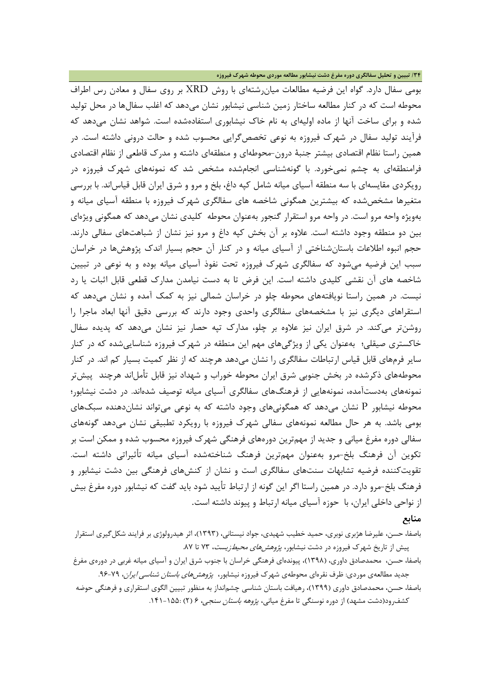بومی سفال دارد. گواه این فرضیه مطالعات میانرشتهاي با روش XRD بر روي سفال و معادن رس اطراف محوطه است که در کنار مطالعه ساختار زمین شناسی نیشابور نشان میدهد که اغلب سفالها در محل تولید شده و براي ساخت آنها از ماده اولیهاي به نام خاك نیشابوري استفادهشده است. شواهد نشان میدهد که فرآیند تولید سفال در شهرك فیروزه به نوعی تخصصگرایی محسوب شده و حالت درونی داشته است. در همین راستا نظام اقتصادي بیشتر جنبۀ درون-محوطهاي و منطقهاي داشته و مدرك قاطعی از نظام اقتصادي فرامنطقهاي به چشم نمیخورد. با گونهشناسی انجامشده مشخص شد که نمونههاي شهرك فیروزه در رویکردي مقایسهاي با سه منطقه آسیاي میانه شامل کپه داغ، بلخ و مرو و شرق ایران قابل قیاساند. با بررسی متغیرها مشخصشده که بیشترین همگونی شاخصه هاي سفالگري شهرك فیروزه با منطقه آسیاي میانه و بهویژه واحه مرو است. در واحه مرو استقرار گنجور بهعنوان محوطه کلیدي نشان میدهد که همگونی ویژهاي بین دو منطقه وجود داشته است. علاوه بر آن بخش کپه داغ و مرو نیز نشان از شباهتهاي سفالی دارند. حجم انبوه اطلاعات باستانشناختی از آسیاي میانه و در کنار آن حجم بسیار اندك پژوهشها در خراسان سبب این فرضیه میشود که سفالگري شهرك فیروزه تحت نفوذ آسیاي میانه بوده و به نوعی در تبیین شاخصه هاي آن نقشی کلیدي داشته است. این فرض تا به دست نیامدن مدارك قطعی قابل اثبات یا رد نیست. در همین راستا نویافتههاي محوطه چلو در خراسان شمالی نیز به کمک آمده و نشان میدهد که استقراهاي دیگري نیز با مشخصههاي سفالگري واحدي وجود دارند که بررسی دقیق آنها ابعاد ماجرا را روشنتر میکند. در شرق ایران نیز علاوه بر چلو، مدارك تپه حصار نیز نشان میدهد که پدیده سفال خاکستري صیقلی؛ بهعنوان یکی از ویژگیهاي مهم این منطقه در شهرك فیروزه شناساییشده که در کنار سایر فرمهاي قابل قیاس ارتباطات سفالگري را نشان میدهد هرچند که از نظر کمیت بسیار کم اند. در کنار محوطههای ذکرشده در بخش جنوبی شرق ایران محوطه خوراب و شهداد نیز قابل تأملاند هرچند پیشتر نمونههاي بهدستآمده، نمونههایی از فرهنگهاي سفالگري آسیاي میانه توصیف شدهاند. در دشت نیشابور؛ محوطه نیشابور P نشان میدهد که همگونیهاي وجود داشته که به نوعی میتواند نشاندهنده سبکهاي بومی باشد. به هر حال مطالعه نمونههاي سفالی شهرك فیروزه با رویکرد تطبیقی نشان میدهد گونههاي سفالی دوره مفرغ میانی و جدید از مهمترین دورههاي فرهنگی شهرك فیروزه محسوب شده و ممکن است بر تکوین آن فرهنگ بلخ-مرو بهعنوان مهمترین فرهنگ شناختهشده آسیاي میانه تأثیراتی داشته است. تقویتکننده فرضیه تشابهات سنتهاي سفالگري است و نشان از کنشهاي فرهنگی بین دشت نیشابور و فرهنگ بلخ-مرو دارد. در همین راستا اگر این گونه از ارتباط تأیید شود باید گفت که نیشابور دوره مفرغ بیش از نواحی داخلی ایران، با حوزه آسیاي میانه ارتباط و پیوند داشته است.

**منابع**

باصفا، حسن، علیرضا هژبري نوبري، حمید خطیب شهیدي، جواد نیستانی، (1393)، اثر هیدرولوژي بر فرایند شکلگیري استقرار پیش از تاریخ شهرک فیروزه در دشت نیشابور، *پژوهش های محیطزیست*، ۷۳ تا ۸۷.

باصفا، حسن، محمدصادق داوري، (1398)، پیوندهاي فرهنگی خراسان با جنوب شرق ایران و آسیاي میانه غربی در دورهي مفرغ جدید مطالعهی موردی: ظرف نقرهای محوطهی شهرک فیروزه نیشابور، *پژوهشهای باستان شناسی ایران*، ۷۹-۹۶.

باصفا، حسن، محمدصادق داوري (1399)، رهیافت باستان شناسی چشمانداز به منظور تبیین الگوي استقراري و فرهنگی حوضه کشف رود(دشت مشهد) از دوره نوسنگی تا مفرغ میانی، *پژوهه باستان سنجی*، ۶ (۲) :۱۵۵-۱۴۱.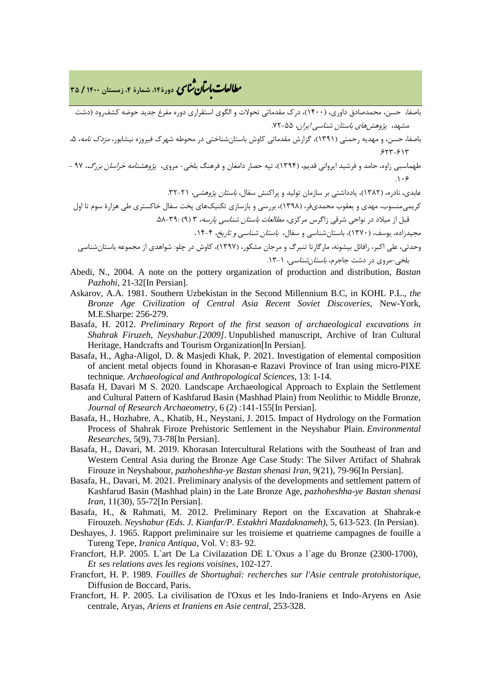**، دورة،14 شمارة ،4 زمستان <sup>1400</sup> / <sup>35</sup>** �نا� �طا ی �عات با�تان

باصفا، حسن، محمدصادق داوري، (1400)، درك مقدماتی تحولات و الگوي استقراري دوره مفرغ جدید حوضه کشفرود (دشت مشهد، پژو*هشهای باستان شناسی ایران، ۲*۵۵-۷۲.

- باصفا، حسن، و مهدیه رحمتی (۱۳۹۱)، گزارش مقدماتی کاوش باستانشناختی در محوطه شهرک فیروزه نیشابور، *مزدک نامه*، ۵،  $5577 - 517$
- طهماسبی زاوه، حامد و فرشید ایروانی قدیم، (1394)، تپه حصار دامغان و فرهنگ بلخی- مروي، پژوهشنامه خراسان بزرگ، 97  $.1.9$

عابدي، نادره، (١٣٨٢)، یادداشتی بر سازمان تولید و پراکنش سفال، *باستان پژوهشی،* ٢١-٣٢.

کریمیمنسوب، مهدي و یعقوب محمديفر، (1398)، بررسی و بازسازي تکنیکهاي پخت سفال خاکستري طی هزارة سوم تا اول قبل از میلاد در نواحی شرقی زاگرس مرکزي، مطالعات باستان شناسی پارسه، 3 (9) .58-39: مجیدزاده، یوسف، (1370)، باستانشناسی و سفال، باستان شناسی و تاریخ، .14-4

- وحدتی، علی اکبر، رافائل بیشونه، مارگارتا تنبرگ و مرجان مشکور، (1397)، کاوش در چلو: شواهدي از مجموعه باستانشناسی بلخی-مروی در دشت جاجرم، *باستان شناسی، ۱*۳-۱۲.
- Abedi, N., 2004. A note on the pottery organization of production and distribution, *Bastan Pazhohi*, 21-32[In Persian].
- Askarov, A.A. 1981. Southern Uzbekistan in the Second Millennium B.C, in KOHL P.L., *the Bronze Age Civilization of Central Asia Recent Soviet Discoveries*, New-York, M.E.Sharpe: 256-279.
- Basafa, H. 2012. *Preliminary Report of the first season of archaeological excavations in Shahrak Firuzeh, Neyshabur.[2009]*. Unpublished manuscript, Archive of Iran Cultural Heritage, Handcrafts and Tourism Organization[In Persian].
- Basafa, H., Agha-Aligol, D. & Masjedi Khak, P. 2021. Investigation of elemental composition of ancient metal objects found in Khorasan-e Razavi Province of Iran using micro-PIXE technique. *Archaeological and Anthropological Sciences*, 13: 1-14.
- Basafa H, Davari M S. 2020. Landscape Archaeological Approach to Explain the Settlement and Cultural Pattern of Kashfarud Basin (Mashhad Plain) from Neolithic to Middle Bronze, *Journal of Research Archaeometry*, 6 (2) :141-155[In Persian].
- Basafa, H., Hozhabre, A., Khatib, H., Neystani, J. 2015. Impact of Hydrology on the Formation Process of Shahrak Firoze Prehistoric Settlement in the Neyshabur Plain. *Environmental Researches*, 5(9), 73-78[In Persian].
- Basafa, H., Davari, M. 2019. Khorasan Intercultural Relations with the Southeast of Iran and Western Central Asia during the Bronze Age Case Study: The Silver Artifact of Shahrak Firouze in Neyshabour, *pazhoheshha-ye Bastan shenasi Iran*, 9(21), 79-96[In Persian].
- Basafa, H., Davari, M. 2021. Preliminary analysis of the developments and settlement pattern of Kashfarud Basin (Mashhad plain) in the Late Bronze Age, *pazhoheshha-ye Bastan shenasi Iran*, 11(30), 55-72[In Persian].
- Basafa, H., & Rahmati, M. 2012. Preliminary Report on the Excavation at Shahrak-e Firouzeh. *Neyshabur (Eds. J. Kianfar/P. Estakhri Mazdaknameh)*, 5, 613-523. (In Persian).
- Deshayes, J. 1965. Rapport preliminaire sur les troisieme et quatrieme campagnes de fouille a Tureng Tepe, *Iranica Antiqua*, Vol. V: 83- 92.
- Francfort, H.P. 2005. L`art De La Civilazation DE L`Oxus a l`age du Bronze (2300-1700)*, Et ses relations aves les regions voisines*, 102-127.
- Francfort, H. P. 1989. *Fouilles de Shortughaï: recherches sur l'Asie centrale protohistorique*, Diffusion de Boccard, Paris.
- Francfort, H. P. 2005. La civilisation de l'Oxus et les Indo-Iraniens et Indo-Aryens en Asie centrale, Aryas, *Ariens et Iraniens en Asie central*, 253-328.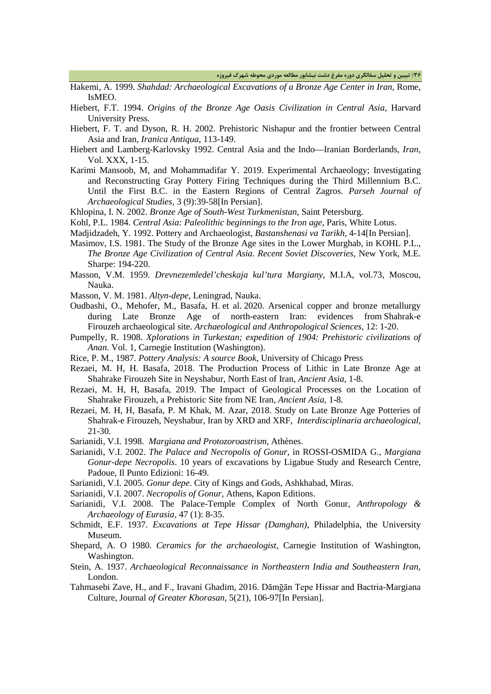**/36 تبیین و تحلیل سفالگري دوره مفرغ دشت نیشابور مطالعه موردي محوطه شهرك فیروزه**

- Hakemi, A. 1999. *Shahdad: Archaeological Excavations of a Bronze Age Center in Iran*, Rome, IsMEO.
- Hiebert, F.T. 1994. *Origins of the Bronze Age Oasis Civilization in Central Asia*, Harvard University Press.
- Hiebert, F. T. and Dyson, R. H. 2002. Prehistoric Nishapur and the frontier between Central Asia and Iran, *Iranica Antiqua*, 113-149.
- Hiebert and Lamberg-Karlovsky 1992. Central Asia and the Indo—Iranian Borderlands, *Iran*, Vol. XXX, 1-15.
- Karimi Mansoob, M, and Mohammadifar Y. 2019. Experimental Archaeology; Investigating and Reconstructing Gray Pottery Firing Techniques during the Third Millennium B.C. Until the First B.C. in the Eastern Regions of Central Zagros. *Parseh Journal of Archaeological Studies*, 3 (9):39-58[In Persian].
- Khlopina, I. N. 2002. *Bronze Age of South-West Turkmenistan*, Saint Petersburg.
- Kohl, P.L. 1984. *Central Asia: Paleolithic beginnings to the Iron age*, Paris, White Lotus.
- Madjidzadeh, Y. 1992. Pottery and Archaeologist, *Bastanshenasi va Tarikh*, 4-14[In Persian].
- Masimov, I.S. 1981. The Study of the Bronze Age sites in the Lower Murghab, in KOHL P.L., *The Bronze Age Civilization of Central Asia. Recent Soviet Discoveries*, New York, M.E. Sharpe: 194-220.
- Masson, V.M. 1959. *Drevnezemledel'cheskaja kul'tura Margiany*, M.I.A, vol.73, Moscou, Nauka.
- Masson, V. M. 1981. *Altyn-depe*, Leningrad, Nauka.
- Oudbashi, O., Mehofer, M., Basafa, H. et al. 2020. Arsenical copper and bronze metallurgy during Late Bronze Age of north-eastern Iran: evidences from Shahrak-e Firouzeh archaeological site. *Archaeological and Anthropological Sciences*, 12: 1-20.
- Pumpelly, R. 1908. *Xplorations in Turkestan; expedition of 1904: Prehistoric civilizations of Anan*. Vol. 1, Carnegie Institution (Washington).
- Rice, P. M., 1987. *Pottery Analysis: A source Book*, University of Chicago Press
- Rezaei, M. H, H. Basafa, 2018. The Production Process of Lithic in Late Bronze Age at Shahrake Firouzeh Site in Neyshabur, North East of Iran, *Ancient Asia*, 1-8.
- Rezaei, M. H, H, Basafa, 2019. The Impact of Geological Processes on the Location of Shahrake Firouzeh, a Prehistoric Site from NE Iran, *Ancient Asia*, 1-8.
- Rezaei, M. H, H, Basafa, P. M Khak, M. Azar, 2018. Study on Late Bronze Age Potteries of Shahrak-e Firouzeh, Neyshabur, Iran by XRD and XRF, *Interdisciplinaria archaeological*, 21-30.
- Sarianidi, V.I. 1998. *Margiana and Protozoroastrism*, Athènes.
- Sarianidi, V.I. 2002. *The Palace and Necropolis of Gonur*, in ROSSI-OSMIDA G., *Margiana Gonur-depe Necropolis*. 10 years of excavations by Ligabue Study and Research Centre, Padoue, Il Punto Edizioni: 16-49.
- Sarianidi, V.I. 2005. *Gonur depe*. City of Kings and Gods, Ashkhabad, Miras.
- Sarianidi, V.I. 2007. *Necropolis of Gonur*, Athens, Kapon Editions.
- Sarianidi, V.I. 2008. The Palace-Temple Complex of North Gonur, *Anthropology & Archaeology of Eurasia*, 47 (1): 8-35.
- Schmidt, E.F. 1937. *Excavations at Tepe Hissar (Damghan)*, Philadelphia, the University Museum.
- Shepard, A. O 1980. *Ceramics for the archaeologist*, Carnegie Institution of Washington, Washington.
- Stein, A. 1937. *Archaeological Reconnaissance in Northeastern India and Southeastern Iran*, London.
- Tahmasebi Zave, H., and F., Iravani Ghadim, 2016. Dāmḡān Tepe Hissar and Bactria-Margiana Culture, Journal *of Greater Khorasan*, 5(21), 106-97[In Persian].